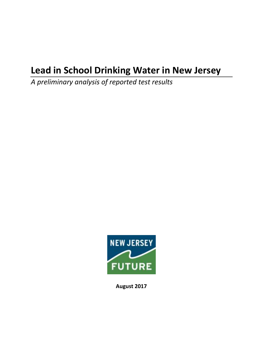# **Lead in School Drinking Water in New Jersey**

*A preliminary analysis of reported test results*



**August 2017**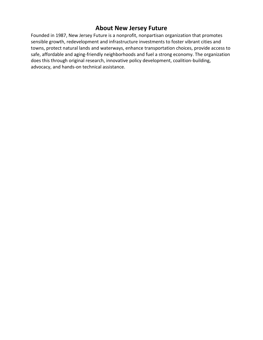# **About New Jersey Future**

Founded in 1987, New Jersey Future is a nonprofit, nonpartisan organization that promotes sensible growth, redevelopment and infrastructure investments to foster vibrant cities and towns, protect natural lands and waterways, enhance transportation choices, provide access to safe, affordable and aging-friendly neighborhoods and fuel a strong economy. The organization does this through original research, innovative policy development, coalition-building, advocacy, and hands-on technical assistance.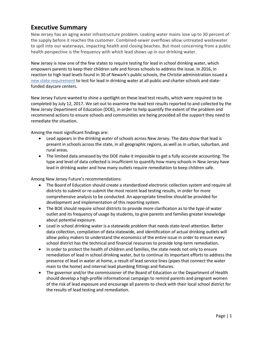# **Executive Summary**

New Jersey has an aging water infrastructure problem. Leaking water mains lose up to 30 percent of the supply before it reaches the customer. Combined-sewer overflows allow untreated wastewater to spill into our waterways, impacting health and closing beaches. But most concerning from a public health perspective is the frequency with which lead shows up in our drinking water.

New Jersey is now one of the few states to require testing for lead in school drinking water, which empowers parents to keep their children safe and forces schools to address the issue. In 2016, in reaction to high lead levels found in 30 of Newark's public schools, the Christie administration issued a [new state requirement](http://www.nj.gov/education/lead/) to test for lead in drinking water at all public and charter schools and statefunded daycare centers.

New Jersey Future wanted to shine a spotlight on these lead test results, which were required to be completed by July 12, 2017. We set out to examine the lead test results reported to and collected by the New Jersey Department of Education (DOE), in order to help quantify the extent of the problem and recommend actions to ensure schools and communities are being provided all the support they need to remediate the situation.

Among the most significant findings are:

- Lead appears in the drinking water of schools across New Jersey. The data show that lead is present in schools across the state, in all geographic regions, as well as in urban, suburban, and rural areas.
- The limited data amassed by the DOE make it impossible to get a fully accurate accounting. The type and level of data collected is insufficient to quantify how many schools in New Jersey have lead in drinking water and how many outlets require remediation to keep children safe.

Among New Jersey Future's recommendations:

- The Board of Education should create a standardized electronic collection system and require all districts to submit or re-submit the most recent lead testing results, in order for more comprehensive analysis to be conducted. An appropriate timeline should be provided for development and implementation of this reporting system.
- The BOE should require school districts to provide more clarification as to the type of water outlet and its frequency of usage by students, to give parents and families greater knowledge about potential exposure.
- Lead in school drinking water is a statewide problem that needs state-level attention. Better data collection, compilation of data statewide, and identification of actual drinking outlets will allow policy makers to understand the economics of the entire issue in order to ensure every school district has the technical and financial resources to provide long-term remediation.
- In order to protect the health of children and families, the state needs not only to ensure remediation of lead in school drinking water, but to continue its important efforts to address the presence of lead in water at home, a result of lead service lines (pipes that connect the water main to the home) and internal lead plumbing fittings and fixtures.
- The governor and/or the commissioner of the Board of Education or the Department of Health should develop a high-profile informational campaign to remind parents and pregnant women of the risk of lead exposure and encourage all parents to check with their local school district for the results of lead testing and remediation.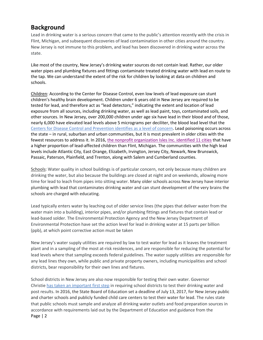### **Background**

Lead in drinking water is a serious concern that came to the public's attention recently with the crisis in Flint, Michigan, and subsequent discoveries of lead contamination in other cities around the country. New Jersey is not immune to this problem, and lead has been discovered in drinking water across the state.

Like most of the country, New Jersey's drinking water sources do not contain lead. Rather, our older water pipes and plumbing fixtures and fittings contaminate treated drinking water with lead en route to the tap. We can understand the extent of the risk for children by looking at data on children and schools.

Children: According to the Center for Disease Control, even low levels of lead exposure can stunt children's healthy brain development. Children under 6 years old in New Jersey are required to be tested for lead, and therefore act as "lead detectors," indicating the extent and location of lead exposure from all sources, including drinking water, as well as lead paint, toys, contaminated soils, and other sources. In New Jersey, over 200,000 children under age six have lead in their blood and of those, nearly 6,000 have elevated lead levels above 5 micrograms per deciliter, the blood lead level that the Centers [for Disease Control and Prevention identifies as a level of concern.](http://www.state.nj.us/health/childhoodlead/documents/reports/childhoodlead2015.pdf) Lead poisoning occurs across the state – in rural, suburban and urban communities, but it is most prevalent in older cities with the fewest resources to address it. In 2016, [the nonprofit organization Isles Inc. identified 11 cities](http://www.nj.com/news/index.ssf/2016/02/11_cities_in_jersey_have_more_lead-affected_kids_t.html) that have a higher proportion of lead-affected children than Flint, Michigan. The communities with the high lead levels include Atlantic City, East Orange, Elizabeth, Irvington, Jersey City, Newark, New Brunswick, Passaic, Paterson, Plainfield, and Trenton, along with Salem and Cumberland counties.

Schools: Water quality in school buildings is of particular concern, not only because many children are drinking the water, but also because the buildings are closed at night and on weekends, allowing more time for lead to leach from pipes into sitting water. Many older schools across New Jersey have interior plumbing with lead that contaminates drinking water and can stunt development of the very brains the schools are charged with educating.

Lead typically enters water by leaching out of older service lines (the pipes that deliver water from the water main into a building), interior pipes, and/or plumbing fittings and fixtures that contain lead or lead-based solder. The Environmental Protection Agency and the New Jersey Department of Environmental Protection have set the action level for lead in drinking water at 15 parts per billion (ppb), at which point corrective action must be taken

New Jersey's water supply utilities are required by law to test water for lead as it leaves the treatment plant and in a sampling of the most at-risk residences, and are responsible for reducing the potential for lead levels where that sampling exceeds federal guidelines. The water supply utilities are responsible for any lead lines they own, while public and private property owners, including municipalities and school districts, bear responsibility for their own lines and fixtures.

Page | 2 School districts in New Jersey are also now responsible for testing their own water. Governor Christie [has taken an important first step](http://www.njfuture.org/wp-content/uploads/2016/08/Christie-executive-order-on-lead-in-school-drinking-water.pdf) in requiring school districts to test their drinking water and post results. In 2016, the State Board of Education set a deadline of July 13, 2017, for New Jersey public and charter schools and publicly funded child care centers to test their water for lead. The rules state that public schools must sample and analyze all drinking water outlets and food preparation sources in accordance with requirements laid out by the Department of Education and guidance from the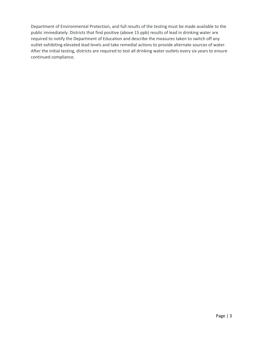Department of Environmental Protection, and full results of the testing must be made available to the public immediately. Districts that find positive (above 15 ppb) results of lead in drinking water are required to notify the Department of Education and describe the measures taken to switch off any outlet exhibiting elevated lead levels and take remedial actions to provide alternate sources of water. After the initial testing, districts are required to test all drinking water outlets every six years to ensure continued compliance.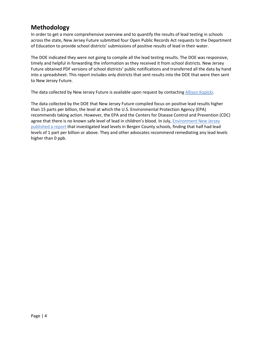# **Methodology**

In order to get a more comprehensive overview and to quantify the results of lead testing in schools across the state, New Jersey Future submitted four Open Public Records Act requests to the Department of Education to provide school districts' submissions of positive results of lead in their water.

The DOE indicated they were not going to compile all the lead testing results. The DOE was responsive, timely and helpful in forwarding the information as they received it from school districts. New Jersey Future obtained PDF versions of school districts' public notifications and transferred all the data by hand into a spreadsheet. This report includes only districts that sent results into the DOE that were then sent to New Jersey Future.

The data collected by New Jersey Future is available upon request by contacting [Allison Kopicki.](mailto:akopicki@njfuture.org)

The data collected by the DOE that New Jersey Future compiled focus on positive lead results higher than 15 parts per billion, the level at which the U.S. Environmental Protection Agency (EPA) recommends taking action. However, the EPA and the Centers for Disease Control and Prevention (CDC) agree that there is no known safe level of lead in children's blood. In July[, Environment New Jersey](http://www.environmentnewjersey.org/news/ame/lead-found-water-half-school-taps-tested-bergen-county-new-jersey)  [published a report](http://www.environmentnewjersey.org/news/ame/lead-found-water-half-school-taps-tested-bergen-county-new-jersey) that investigated lead levels in Bergen County schools, finding that half had lead levels of 1 part per billion or above. They and other advocates recommend remediating any lead levels higher than 0 ppb.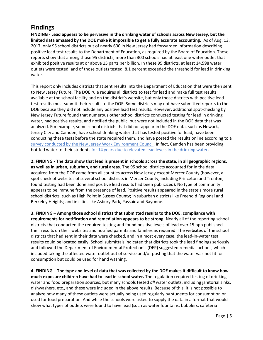### **Findings**

**FINDING - Lead appears to be pervasive in the drinking water of schools across New Jersey, but the limited data amassed by the DOE make it impossible to get a fully accurate accounting.** As of Aug. 13, 2017, only 95 school districts out of nearly 600 in New Jersey had forwarded information describing positive lead test results to the Department of Education, as required by the Board of Education. These reports show that among those 95 districts, more than 300 schools had at least one water outlet that exhibited positive results at or above 15 parts per billion. In these 95 districts, at least 14,598 water outlets were tested, and of those outlets tested, 8.1 percent exceeded the threshold for lead in drinking water.

This report only includes districts that sent results into the Department of Education that were then sent to New Jersey Future. The DOE rule requires all districts to test for lead and make full test results available at the school facility and on the district's website, but only those districts with positive lead test results must submit their results to the DOE. Some districts may not have submitted reports to the DOE because they did not include any positive lead test results. However, additional spot-checking by New Jersey Future found that numerous other school districts conducted testing for lead in drinking water, had positive results, and notified the public, but were not included in the DOE data that was analyzed. For example, some school districts that did not appear in the DOE data, such as Newark, Jersey City and Camden, have school drinking water that has tested positive for lead, have been conducting these tests before the state required them, and have posted the results online according to a [survey conducted by the New Jersey](https://njwec.org/2017/08/lead-testing-results-must-be-public/) Work Environment Council. In fact, Camden has been providing bottled water to their students [for 14 years due to elevated lead levels in the drinking water.](http://www.wnyc.org/story/camden-nj-students-also-have-drink-bottled-water-after-report-found-high-levels-lead/)

**2. FINDING - The data show that lead is present in schools across the state, in all geographic regions, as well as in urban, suburban, and rural areas.** The 95 school districts accounted for in the data acquired from the DOE came from all counties across New Jersey except Mercer County (however, a spot check of websites of several school districts in Mercer County, including Princeton and Trenton, found testing had been done and positive lead results had been publicized). No type of community appears to be immune from the presence of lead. Positive results appeared in the state's more rural school districts, such as High Point in Sussex County; in suburban districts like Freehold Regional and Berkeley Heights; and in cities like Asbury Park, Passaic and Bayonne.

**3. FINDING – Among those school districts that submitted results to the DOE, compliance with requirements for notification and remediation appears to be strong.** Nearly all of the reporting school districts that conducted the required testing and found positive levels of lead over 15 ppb published their results on their websites and notified parents and families as required. The websites of the school districts that had sent in their data were checked, and in almost every case, the lead-in-water test results could be located easily. School submittals indicated that districts took the lead findings seriously and followed the Department of Environmental Protection's (DEP) suggested remedial actions, which included taking the affected water outlet out of service and/or posting that the water was not fit for consumption but could be used for hand washing.

**4. FINDING – The type and level of data that was collected by the DOE makes it difficult to know how much exposure children have had to lead in school water.** The regulation required testing of drinking water and food preparation sources, but many schools tested *all* water outlets, including janitorial sinks, dishwashers, etc., and these were included in the above results. Because of this, it is not possible to analyze how many of these outlets were actually being used regularly by students for consumption or used for food preparation. And while the schools were asked to supply the data in a format that would show what types of outlets were found to have lead (such as water fountains, bubblers, cafeteria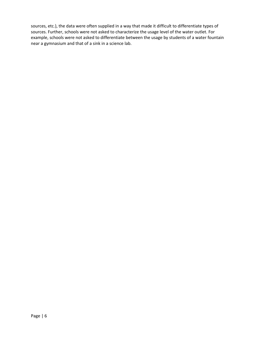sources, etc.), the data were often supplied in a way that made it difficult to differentiate types of sources. Further, schools were not asked to characterize the usage level of the water outlet. For example, schools were not asked to differentiate between the usage by students of a water fountain near a gymnasium and that of a sink in a science lab.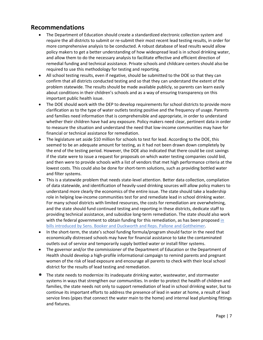#### **Recommendations**

- The Department of Education should create a standardized electronic collection system and require the all districts to submit or re-submit their most recent lead testing results, in order for more comprehensive analysis to be conducted. A robust database of lead results would allow policy makers to get a better understanding of how widespread lead is in school drinking water, and allow them to do the necessary analysis to facilitate effective and efficient direction of remedial funding and technical assistance. Private schools and childcare centers should also be required to use this methodology for testing and reporting.
- All school testing results, even if negative, should be submitted to the DOE so that they can confirm that all districts conducted testing and so that they can understand the extent of the problem statewide. The results should be made available publicly, so parents can learn easily about conditions in their children's schools and as a way of ensuring transparency on this important public health issue.
- The DOE should work with the DEP to develop requirements for school districts to provide more clarification as to the type of water outlets testing positive and the frequency of usage. Parents and families need information that is comprehensible and appropriate, in order to understand whether their children have had any exposure. Policy makers need clear, pertinent data in order to measure the situation and understand the need that low-income communities may have for financial or technical assistance for remediation.
- The legislature set aside \$10 million for schools to test for lead. According to the DOE, this seemed to be an adequate amount for testing, as it had not been drawn down completely by the end of the testing period. However, the DOE also indicated that there could be cost savings if the state were to issue a request for proposals on which water testing companies could bid, and then were to provide schools with a list of vendors that met high performance criteria at the lowest costs. This could also be done for short-term solutions, such as providing bottled water and filter systems.
- This is a statewide problem that needs state-level attention. Better data collection, compilation of data statewide, and identification of heavily-used drinking sources will allow policy makers to understand more clearly the economics of the entire issue. The state should take a leadership role in helping low-income communities test for and remediate lead in school drinking water. For many school districts with limited resources, the costs for remediation are overwhelming, and the state should fund continued testing and reporting in these districts, dedicate staff to providing technical assistance, and subsidize long-term remediation. The state should also work with the federal government to obtain funding for this remediation, as has been propose[d in](https://www.usatoday.com/story/news/2017/06/05/booker-gottheimer-pitch-grant-program-get-lead-out-school-water/370335001/)  bills introduced by Sens. [Booker and Duckworth and Reps.](https://www.usatoday.com/story/news/2017/06/05/booker-gottheimer-pitch-grant-program-get-lead-out-school-water/370335001/) Pallone and Gottheimer.
- In the short-term, the state's school funding formula/program should factor in the need that economically distressed schools may have for financial assistance to take the contaminated outlets out of service and temporarily supply bottled water or install filter systems.
- The governor and/or the commissioner of the Department of Education or the Department of Health should develop a high-profile informational campaign to remind parents and pregnant women of the risk of lead exposure and encourage all parents to check with their local school district for the results of lead testing and remediation.
- The state needs to modernize its inadequate drinking water, wastewater, and stormwater systems in ways that strengthen our communities. In order to protect the health of children and families, the state needs not only to support remediation of lead in school drinking water, but to continue its important efforts to address the presence of lead in water at home, a result of lead service lines (pipes that connect the water main to the home) and internal lead plumbing fittings and fixtures.